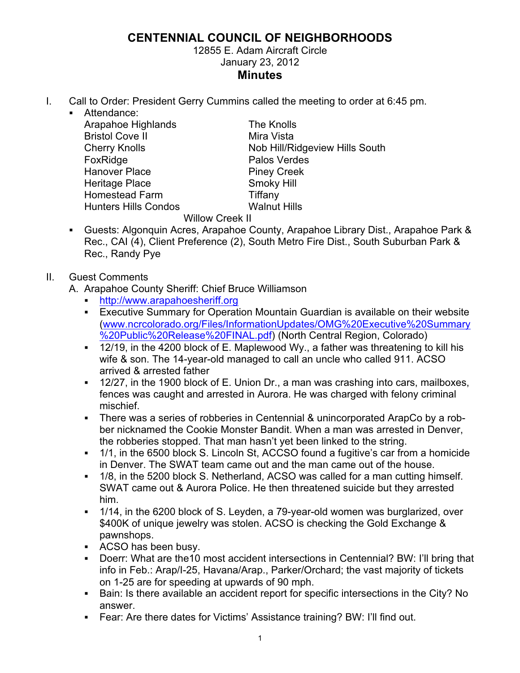## **CENTENNIAL COUNCIL OF NEIGHBORHOODS**

12855 E. Adam Aircraft Circle January 23, 2012 **Minutes**

I. Call to Order: President Gerry Cummins called the meeting to order at 6:45 pm.

Willow Creek II

! Attendance: Arapahoe Highlands The Knolls Bristol Cove II Mira Vista FoxRidge **Palos** Verdes Hanover Place Piney Creek Heritage Place Smoky Hill Homestead Farm Tiffany<br>
Hunters Hills Condos Malnut Hills Hunters Hills Condos

Cherry Knolls **Nob Hill/Ridgeview Hills South** 

- ! Guests: Algonquin Acres, Arapahoe County, Arapahoe Library Dist., Arapahoe Park & Rec., CAI (4), Client Preference (2), South Metro Fire Dist., South Suburban Park & Rec., Randy Pye
- II. Guest Comments
	- A. Arapahoe County Sheriff: Chief Bruce Williamson
		- ! http://www.arapahoesheriff.org
		- ! Executive Summary for Operation Mountain Guardian is available on their website (www.ncrcolorado.org/Files/InformationUpdates/OMG%20Executive%20Summary %20Public%20Release%20FINAL.pdf) (North Central Region, Colorado)
		- ! 12/19, in the 4200 block of E. Maplewood Wy., a father was threatening to kill his wife & son. The 14-year-old managed to call an uncle who called 911. ACSO arrived & arrested father
		- ! 12/27, in the 1900 block of E. Union Dr., a man was crashing into cars, mailboxes, fences was caught and arrested in Aurora. He was charged with felony criminal mischief.
		- ! There was a series of robberies in Centennial & unincorporated ArapCo by a robber nicknamed the Cookie Monster Bandit. When a man was arrested in Denver, the robberies stopped. That man hasn't yet been linked to the string.
		- ! 1/1, in the 6500 block S. Lincoln St, ACCSO found a fugitive's car from a homicide in Denver. The SWAT team came out and the man came out of the house.
		- ! 1/8, in the 5200 block S. Netherland, ACSO was called for a man cutting himself. SWAT came out & Aurora Police. He then threatened suicide but they arrested him.
		- ! 1/14, in the 6200 block of S. Leyden, a 79-year-old women was burglarized, over \$400K of unique jewelry was stolen. ACSO is checking the Gold Exchange & pawnshops.
		- ! ACSO has been busy.
		- ! Doerr: What are the10 most accident intersections in Centennial? BW: I'll bring that info in Feb.: Arap/I-25, Havana/Arap., Parker/Orchard; the vast majority of tickets on 1-25 are for speeding at upwards of 90 mph.
		- ! Bain: Is there available an accident report for specific intersections in the City? No answer.
		- ! Fear: Are there dates for Victims' Assistance training? BW: I'll find out.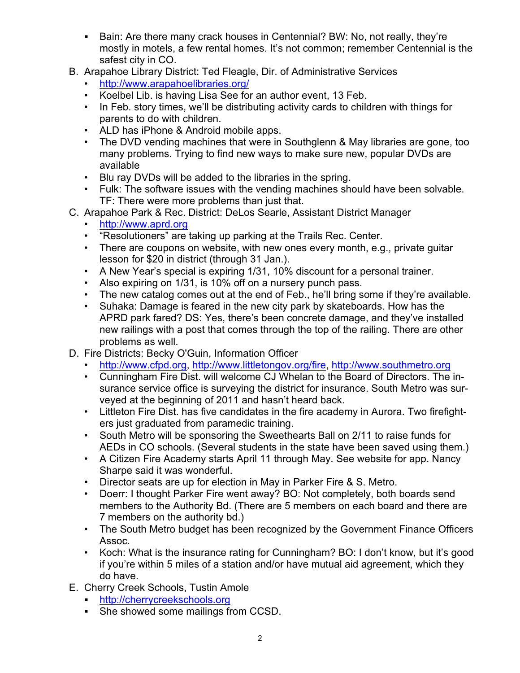- ! Bain: Are there many crack houses in Centennial? BW: No, not really, they're mostly in motels, a few rental homes. It's not common; remember Centennial is the safest city in CO.
- B. Arapahoe Library District: Ted Fleagle, Dir. of Administrative Services
	- http://www.arapahoelibraries.org/
	- Koelbel Lib. is having Lisa See for an author event, 13 Feb.
	- In Feb. story times, we'll be distributing activity cards to children with things for parents to do with children.
	- ALD has iPhone & Android mobile apps.
	- The DVD vending machines that were in Southglenn & May libraries are gone, too many problems. Trying to find new ways to make sure new, popular DVDs are available
	- Blu ray DVDs will be added to the libraries in the spring.
	- Fulk: The software issues with the vending machines should have been solvable. TF: There were more problems than just that.
- C. Arapahoe Park & Rec. District: DeLos Searle, Assistant District Manager
	- http://www.aprd.org
	- "Resolutioners" are taking up parking at the Trails Rec. Center.
	- There are coupons on website, with new ones every month, e.g., private guitar lesson for \$20 in district (through 31 Jan.).
	- A New Year's special is expiring 1/31, 10% discount for a personal trainer.
	- Also expiring on 1/31, is 10% off on a nursery punch pass.
	- The new catalog comes out at the end of Feb., he'll bring some if they're available.
	- Suhaka: Damage is feared in the new city park by skateboards. How has the APRD park fared? DS: Yes, there's been concrete damage, and they've installed new railings with a post that comes through the top of the railing. There are other problems as well.
- D. Fire Districts: Becky O'Guin, Information Officer
	- http://www.cfpd.org, http://www.littletongov.org/fire, http://www.southmetro.org
	- Cunningham Fire Dist. will welcome CJ Whelan to the Board of Directors. The insurance service office is surveying the district for insurance. South Metro was surveyed at the beginning of 2011 and hasn't heard back.
	- Littleton Fire Dist. has five candidates in the fire academy in Aurora. Two firefighters just graduated from paramedic training.
	- South Metro will be sponsoring the Sweethearts Ball on 2/11 to raise funds for AEDs in CO schools. (Several students in the state have been saved using them.)
	- A Citizen Fire Academy starts April 11 through May. See website for app. Nancy Sharpe said it was wonderful.
	- Director seats are up for election in May in Parker Fire & S. Metro.
	- Doerr: I thought Parker Fire went away? BO: Not completely, both boards send members to the Authority Bd. (There are 5 members on each board and there are 7 members on the authority bd.)
	- The South Metro budget has been recognized by the Government Finance Officers Assoc.
	- Koch: What is the insurance rating for Cunningham? BO: I don't know, but it's good if you're within 5 miles of a station and/or have mutual aid agreement, which they do have.
- E. Cherry Creek Schools, Tustin Amole
	- ! http://cherrycreekschools.org
	- **.** She showed some mailings from CCSD.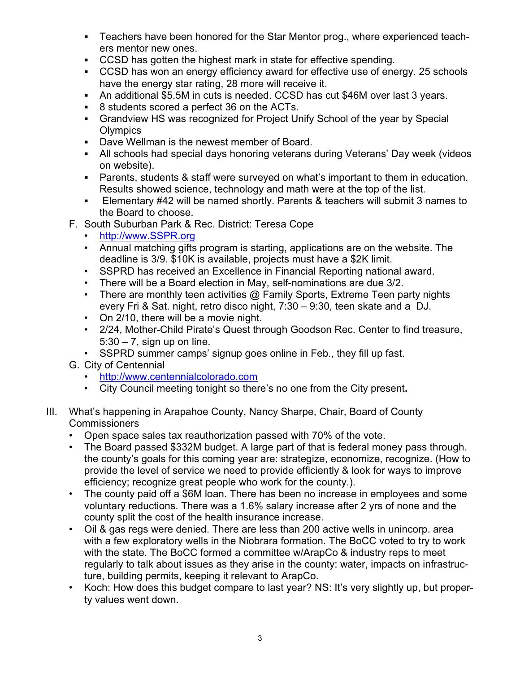- ! Teachers have been honored for the Star Mentor prog., where experienced teachers mentor new ones.
- ! CCSD has gotten the highest mark in state for effective spending.
- ! CCSD has won an energy efficiency award for effective use of energy. 25 schools have the energy star rating, 28 more will receive it.
- ! An additional \$5.5M in cuts is needed. CCSD has cut \$46M over last 3 years.
- ! 8 students scored a perfect 36 on the ACTs.
- ! Grandview HS was recognized for Project Unify School of the year by Special **Olympics**
- ! Dave Wellman is the newest member of Board.
- ! All schools had special days honoring veterans during Veterans' Day week (videos on website).
- ! Parents, students & staff were surveyed on what's important to them in education. Results showed science, technology and math were at the top of the list.
- ! Elementary #42 will be named shortly. Parents & teachers will submit 3 names to the Board to choose.
- F. South Suburban Park & Rec. District: Teresa Cope
	- http://www.SSPR.org
	- Annual matching gifts program is starting, applications are on the website. The deadline is 3/9. \$10K is available, projects must have a \$2K limit.
	- SSPRD has received an Excellence in Financial Reporting national award.
	- There will be a Board election in May, self-nominations are due 3/2.
	- There are monthly teen activities  $\omega$  Family Sports, Extreme Teen party nights every Fri & Sat. night, retro disco night, 7:30 – 9:30, teen skate and a DJ.
	- On 2/10, there will be a movie night.
	- 2/24, Mother-Child Pirate's Quest through Goodson Rec. Center to find treasure,  $5:30 - 7$ , sign up on line.
	- SSPRD summer camps' signup goes online in Feb., they fill up fast.
- G. City of Centennial
	- http://www.centennialcolorado.com
	- City Council meeting tonight so there's no one from the City present**.**
- III. What's happening in Arapahoe County, Nancy Sharpe, Chair, Board of County Commissioners
	- Open space sales tax reauthorization passed with 70% of the vote.
	- The Board passed \$332M budget. A large part of that is federal money pass through. the county's goals for this coming year are: strategize, economize, recognize. (How to provide the level of service we need to provide efficiently & look for ways to improve efficiency; recognize great people who work for the county.).
	- The county paid off a \$6M loan. There has been no increase in employees and some voluntary reductions. There was a 1.6% salary increase after 2 yrs of none and the county split the cost of the health insurance increase.
	- Oil & gas regs were denied. There are less than 200 active wells in unincorp. area with a few exploratory wells in the Niobrara formation. The BoCC voted to try to work with the state. The BoCC formed a committee w/ArapCo & industry reps to meet regularly to talk about issues as they arise in the county: water, impacts on infrastructure, building permits, keeping it relevant to ArapCo.
	- Koch: How does this budget compare to last year? NS: It's very slightly up, but property values went down.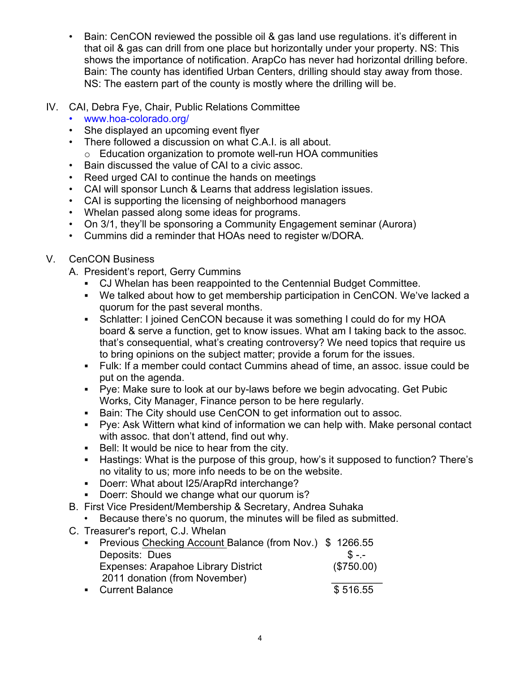- Bain: CenCON reviewed the possible oil & gas land use regulations. it's different in that oil & gas can drill from one place but horizontally under your property. NS: This shows the importance of notification. ArapCo has never had horizontal drilling before. Bain: The county has identified Urban Centers, drilling should stay away from those. NS: The eastern part of the county is mostly where the drilling will be.
- IV. CAI, Debra Fye, Chair, Public Relations Committee
	- www.hoa-colorado.org/
	- She displayed an upcoming event flyer
	- There followed a discussion on what C.A.I. is all about. o Education organization to promote well-run HOA communities
	- Bain discussed the value of CAI to a civic assoc.
	- Reed urged CAI to continue the hands on meetings
	- CAI will sponsor Lunch & Learns that address legislation issues.
	- CAI is supporting the licensing of neighborhood managers
	- Whelan passed along some ideas for programs.
	- On 3/1, they'll be sponsoring a Community Engagement seminar (Aurora)
	- Cummins did a reminder that HOAs need to register w/DORA.
- V. CenCON Business
	- A. President's report, Gerry Cummins
		- ! CJ Whelan has been reappointed to the Centennial Budget Committee.
		- ! We talked about how to get membership participation in CenCON. We've lacked a quorum for the past several months.
		- ! Schlatter: I joined CenCON because it was something I could do for my HOA board & serve a function, get to know issues. What am I taking back to the assoc. that's consequential, what's creating controversy? We need topics that require us to bring opinions on the subject matter; provide a forum for the issues.
		- ! Fulk: If a member could contact Cummins ahead of time, an assoc. issue could be put on the agenda.
		- ! Pye: Make sure to look at our by-laws before we begin advocating. Get Pubic Works, City Manager, Finance person to be here regularly.
		- ! Bain: The City should use CenCON to get information out to assoc.
		- ! Pye: Ask Wittern what kind of information we can help with. Make personal contact with assoc. that don't attend, find out why.
		- ! Bell: It would be nice to hear from the city.
		- ! Hastings: What is the purpose of this group, how's it supposed to function? There's no vitality to us; more info needs to be on the website.
		- ! Doerr: What about I25/ArapRd interchange?
		- ! Doerr: Should we change what our quorum is?
	- B. First Vice President/Membership & Secretary, Andrea Suhaka
		- Because there's no quorum, the minutes will be filed as submitted.
	- C. Treasurer's report, C.J. Whelan

| • Previous Checking Account Balance (from Nov.) \$1266.55 |            |
|-----------------------------------------------------------|------------|
| Deposits: Dues                                            | $S - -$    |
| <b>Expenses: Arapahoe Library District</b>                | (\$750.00) |
| 2011 donation (from November)                             |            |
| • Current Balance                                         | \$516.55   |